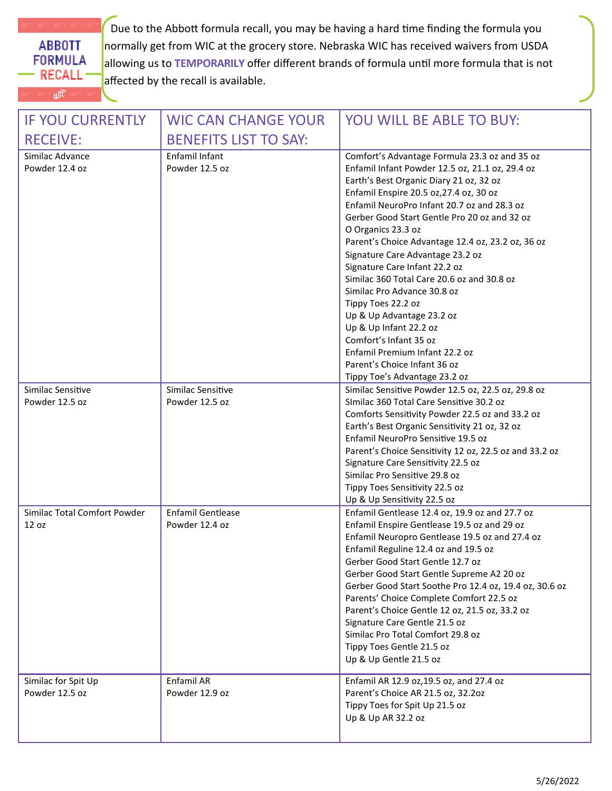**ABBOTT FORMULA RECALL**  $U^{[C]}$ 

Due to the Abbott formula recall, you may be having a hard time finding the formula you normally get from WIC at the grocery store. Nebraska WIC has received waivers from USDA allowing us to **TEMPORARILY** offer different brands of formula until more formula that is not affected by the recall is available.

| <b>IF YOU CURRENTLY</b>               | <b>WIC CAN CHANGE YOUR</b>                 | <b>YOU WILL BE ABLE TO BUY:</b>                                                                                                                                                                                                                                                                                                                                                                                                                                                                                                                                                                                                                                                                                              |
|---------------------------------------|--------------------------------------------|------------------------------------------------------------------------------------------------------------------------------------------------------------------------------------------------------------------------------------------------------------------------------------------------------------------------------------------------------------------------------------------------------------------------------------------------------------------------------------------------------------------------------------------------------------------------------------------------------------------------------------------------------------------------------------------------------------------------------|
| <b>RECEIVE:</b>                       | <b>BENEFITS LIST TO SAY:</b>               |                                                                                                                                                                                                                                                                                                                                                                                                                                                                                                                                                                                                                                                                                                                              |
| Similac Advance<br>Powder 12.4 oz     | Enfamil Infant<br>Powder 12.5 oz           | Comfort's Advantage Formula 23.3 oz and 35 oz<br>Enfamil Infant Powder 12.5 oz, 21.1 oz, 29.4 oz<br>Earth's Best Organic Diary 21 oz, 32 oz<br>Enfamil Enspire 20.5 oz, 27.4 oz, 30 oz<br>Enfamil NeuroPro Infant 20.7 oz and 28.3 oz<br>Gerber Good Start Gentle Pro 20 oz and 32 oz<br>O Organics 23.3 oz<br>Parent's Choice Advantage 12.4 oz, 23.2 oz, 36 oz<br>Signature Care Advantage 23.2 oz<br>Signature Care Infant 22.2 oz<br>Similac 360 Total Care 20.6 oz and 30.8 oz<br>Similac Pro Advance 30.8 oz<br>Tippy Toes 22.2 oz<br>Up & Up Advantage 23.2 oz<br>Up & Up Infant 22.2 oz<br>Comfort's Infant 35 oz<br>Enfamil Premium Infant 22.2 oz<br>Parent's Choice Infant 36 oz<br>Tippy Toe's Advantage 23.2 oz |
| Similac Sensitive<br>Powder 12.5 oz   | Similac Sensitive<br>Powder 12.5 oz        | Similac Sensitive Powder 12.5 oz, 22.5 oz, 29.8 oz<br>Similac 360 Total Care Sensitive 30.2 oz<br>Comforts Sensitivity Powder 22.5 oz and 33.2 oz<br>Earth's Best Organic Sensitivity 21 oz, 32 oz<br>Enfamil NeuroPro Sensitive 19.5 oz<br>Parent's Choice Sensitivity 12 oz, 22.5 oz and 33.2 oz<br>Signature Care Sensitivity 22.5 oz<br>Similac Pro Sensitive 29.8 oz<br>Tippy Toes Sensitivity 22.5 oz<br>Up & Up Sensitivity 22.5 oz                                                                                                                                                                                                                                                                                   |
| Similac Total Comfort Powder<br>12 oz | <b>Enfamil Gentlease</b><br>Powder 12.4 oz | Enfamil Gentlease 12.4 oz, 19.9 oz and 27.7 oz<br>Enfamil Enspire Gentlease 19.5 oz and 29 oz<br>Enfamil Neuropro Gentlease 19.5 oz and 27.4 oz<br>Enfamil Reguline 12.4 oz and 19.5 oz<br>Gerber Good Start Gentle 12.7 oz<br>Gerber Good Start Gentle Supreme A2 20 oz<br>Gerber Good Start Soothe Pro 12.4 oz, 19.4 oz, 30.6 oz<br>Parents' Choice Complete Comfort 22.5 oz<br>Parent's Choice Gentle 12 oz, 21.5 oz, 33.2 oz<br>Signature Care Gentle 21.5 oz<br>Similac Pro Total Comfort 29.8 oz<br>Tippy Toes Gentle 21.5 oz<br>Up & Up Gentle 21.5 oz                                                                                                                                                                |
| Similac for Spit Up<br>Powder 12.5 oz | Enfamil AR<br>Powder 12.9 oz               | Enfamil AR 12.9 oz, 19.5 oz, and 27.4 oz<br>Parent's Choice AR 21.5 oz, 32.2oz<br>Tippy Toes for Spit Up 21.5 oz<br>Up & Up AR 32.2 oz                                                                                                                                                                                                                                                                                                                                                                                                                                                                                                                                                                                       |